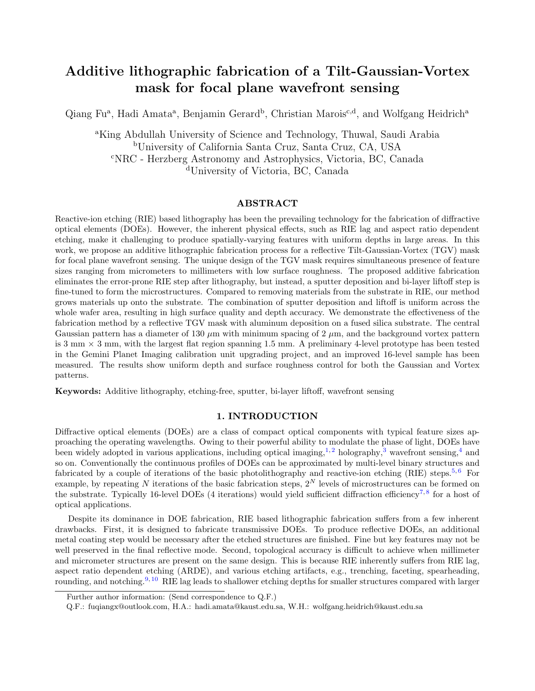# Additive lithographic fabrication of a Tilt-Gaussian-Vortex mask for focal plane wavefront sensing

Qiang Fu<sup>a</sup>, Hadi Amata<sup>a</sup>, Benjamin Gerard<sup>b</sup>, Christian Marois<sup>c,d</sup>, and Wolfgang Heidrich<sup>a</sup>

<sup>a</sup>King Abdullah University of Science and Technology, Thuwal, Saudi Arabia <sup>b</sup>University of California Santa Cruz, Santa Cruz, CA, USA <sup>c</sup>NRC - Herzberg Astronomy and Astrophysics, Victoria, BC, Canada <sup>d</sup>University of Victoria, BC, Canada

#### ABSTRACT

Reactive-ion etching (RIE) based lithography has been the prevailing technology for the fabrication of diffractive optical elements (DOEs). However, the inherent physical effects, such as RIE lag and aspect ratio dependent etching, make it challenging to produce spatially-varying features with uniform depths in large areas. In this work, we propose an additive lithographic fabrication process for a reflective Tilt-Gaussian-Vortex (TGV) mask for focal plane wavefront sensing. The unique design of the TGV mask requires simultaneous presence of feature sizes ranging from micrometers to millimeters with low surface roughness. The proposed additive fabrication eliminates the error-prone RIE step after lithography, but instead, a sputter deposition and bi-layer liftoff step is fine-tuned to form the microstructures. Compared to removing materials from the substrate in RIE, our method grows materials up onto the substrate. The combination of sputter deposition and liftoff is uniform across the whole wafer area, resulting in high surface quality and depth accuracy. We demonstrate the effectiveness of the fabrication method by a reflective TGV mask with aluminum deposition on a fused silica substrate. The central Gaussian pattern has a diameter of 130  $\mu$ m with minimum spacing of 2  $\mu$ m, and the background vortex pattern is 3 mm  $\times$  3 mm, with the largest flat region spanning 1.5 mm. A preliminary 4-level prototype has been tested in the Gemini Planet Imaging calibration unit upgrading project, and an improved 16-level sample has been measured. The results show uniform depth and surface roughness control for both the Gaussian and Vortex patterns.

Keywords: Additive lithography, etching-free, sputter, bi-layer liftoff, wavefront sensing

#### 1. INTRODUCTION

Diffractive optical elements (DOEs) are a class of compact optical components with typical feature sizes approaching the operating wavelengths. Owing to their powerful ability to modulate the phase of light, DOEs have been widely adopted in various applications, including optical imaging,<sup>[1,](#page-7-0)[2](#page-7-1)</sup> holography,<sup>[3](#page-8-0)</sup> wavefront sensing,<sup>[4](#page-8-1)</sup> and so on. Conventionally the continuous profiles of DOEs can be approximated by multi-level binary structures and fabricated by a couple of iterations of the basic photolithography and reactive-ion etching (RIE) steps.<sup>[5,](#page-8-2)[6](#page-8-3)</sup> For example, by repeating N iterations of the basic fabrication steps,  $2^N$  levels of microstructures can be formed on the substrate. Typically 16-level DOEs (4 iterations) would yield sufficient diffraction efficiency<sup>[7,](#page-8-4)[8](#page-8-5)</sup> for a host of optical applications.

Despite its dominance in DOE fabrication, RIE based lithographic fabrication suffers from a few inherent drawbacks. First, it is designed to fabricate transmissive DOEs. To produce reflective DOEs, an additional metal coating step would be necessary after the etched structures are finished. Fine but key features may not be well preserved in the final reflective mode. Second, topological accuracy is difficult to achieve when millimeter and micrometer structures are present on the same design. This is because RIE inherently suffers from RIE lag, aspect ratio dependent etching (ARDE), and various etching artifacts, e.g., trenching, faceting, spearheading, rounding, and notching.<sup>[9,](#page-8-6) [10](#page-8-7)</sup> RIE lag leads to shallower etching depths for smaller structures compared with larger

Further author information: (Send correspondence to Q.F.)

Q.F.: fuqiangx@outlook.com, H.A.: hadi.amata@kaust.edu.sa, W.H.: wolfgang.heidrich@kaust.edu.sa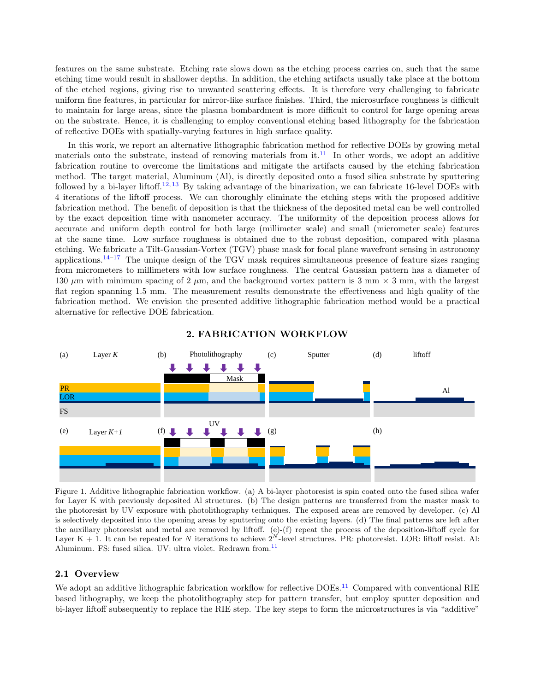features on the same substrate. Etching rate slows down as the etching process carries on, such that the same etching time would result in shallower depths. In addition, the etching artifacts usually take place at the bottom of the etched regions, giving rise to unwanted scattering effects. It is therefore very challenging to fabricate uniform fine features, in particular for mirror-like surface finishes. Third, the microsurface roughness is difficult to maintain for large areas, since the plasma bombardment is more difficult to control for large opening areas on the substrate. Hence, it is challenging to employ conventional etching based lithography for the fabrication of reflective DOEs with spatially-varying features in high surface quality.

In this work, we report an alternative lithographic fabrication method for reflective DOEs by growing metal materials onto the substrate, instead of removing materials from  $it.^{11}$  $it.^{11}$  $it.^{11}$ . In other words, we adopt an additive fabrication routine to overcome the limitations and mitigate the artifacts caused by the etching fabrication method. The target material, Aluminum (Al), is directly deposited onto a fused silica substrate by sputtering followed by a bi-layer liftoff.<sup>[12,](#page-8-9) [13](#page-8-10)</sup> By taking advantage of the binarization, we can fabricate 16-level DOEs with 4 iterations of the liftoff process. We can thoroughly eliminate the etching steps with the proposed additive fabrication method. The benefit of deposition is that the thickness of the deposited metal can be well controlled by the exact deposition time with nanometer accuracy. The uniformity of the deposition process allows for accurate and uniform depth control for both large (millimeter scale) and small (micrometer scale) features at the same time. Low surface roughness is obtained due to the robust deposition, compared with plasma etching. We fabricate a Tilt-Gaussian-Vortex (TGV) phase mask for focal plane wavefront sensing in astronomy applications.<sup>[14–](#page-8-11)[17](#page-8-12)</sup> The unique design of the TGV mask requires simultaneous presence of feature sizes ranging from micrometers to millimeters with low surface roughness. The central Gaussian pattern has a diameter of 130  $\mu$ m with minimum spacing of 2  $\mu$ m, and the background vortex pattern is 3 mm  $\times$  3 mm, with the largest flat region spanning 1.5 mm. The measurement results demonstrate the effectiveness and high quality of the fabrication method. We envision the presented additive lithographic fabrication method would be a practical alternative for reflective DOE fabrication.



#### 2. FABRICATION WORKFLOW

<span id="page-1-0"></span>Figure 1. Additive lithographic fabrication workflow. (a) A bi-layer photoresist is spin coated onto the fused silica wafer for Layer K with previously deposited Al structures. (b) The design patterns are transferred from the master mask to the photoresist by UV exposure with photolithography techniques. The exposed areas are removed by developer. (c) Al is selectively deposited into the opening areas by sputtering onto the existing layers. (d) The final patterns are left after the auxiliary photoresist and metal are removed by liftoff. (e)-(f) repeat the process of the deposition-liftoff cycle for Layer K + 1. It can be repeated for N iterations to achieve  $2^N$ -level structures. PR: photoresist. LOR: liftoff resist. Al: Aluminum. FS: fused silica. UV: ultra violet. Redrawn from.<sup>[11](#page-8-8)</sup>

#### 2.1 Overview

We adopt an additive lithographic fabrication workflow for reflective DOEs.<sup>[11](#page-8-8)</sup> Compared with conventional RIE based lithography, we keep the photolithography step for pattern transfer, but employ sputter deposition and bi-layer liftoff subsequently to replace the RIE step. The key steps to form the microstructures is via "additive"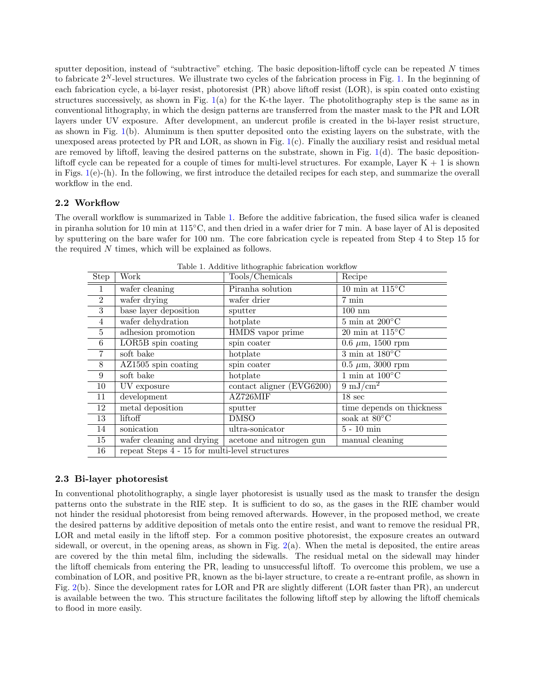sputter deposition, instead of "subtractive" etching. The basic deposition-liftoff cycle can be repeated N times to fabricate  $2^N$ -level structures. We illustrate two cycles of the fabrication process in Fig. [1.](#page-1-0) In the beginning of each fabrication cycle, a bi-layer resist, photoresist (PR) above liftoff resist (LOR), is spin coated onto existing structures successively, as shown in Fig. [1\(](#page-1-0)a) for the K-the layer. The photolithography step is the same as in conventional lithography, in which the design patterns are transferred from the master mask to the PR and LOR layers under UV exposure. After development, an undercut profile is created in the bi-layer resist structure, as shown in Fig. [1\(](#page-1-0)b). Aluminum is then sputter deposited onto the existing layers on the substrate, with the unexposed areas protected by  $PR$  and  $LOR$ , as shown in Fig.  $1(c)$  $1(c)$ . Finally the auxiliary resist and residual metal are removed by liftoff, leaving the desired patterns on the substrate, shown in Fig.  $1(d)$  $1(d)$ . The basic depositionliftoff cycle can be repeated for a couple of times for multi-level structures. For example, Layer  $K + 1$  is shown in Figs.  $1(e)$  $1(e)$ -(h). In the following, we first introduce the detailed recipes for each step, and summarize the overall workflow in the end.

## 2.2 Workflow

The overall workflow is summarized in Table [1.](#page-2-0) Before the additive fabrication, the fused silica wafer is cleaned in piranha solution for 10 min at 115◦C, and then dried in a wafer drier for 7 min. A base layer of Al is deposited by sputtering on the bare wafer for 100 nm. The core fabrication cycle is repeated from Step 4 to Step 15 for the required N times, which will be explained as follows.

| Step           | Work                                           | Lable 1. Additive intrographic fabrication worknow<br>Tools/Chemicals | Recipe                                              |
|----------------|------------------------------------------------|-----------------------------------------------------------------------|-----------------------------------------------------|
| $\mathbf{1}$   | wafer cleaning                                 | Piranha solution                                                      | $10 \text{ min at } 115^{\circ}\text{C}$            |
| 2              | wafer drying                                   | wafer drier                                                           | 7 min                                               |
| 3              | base layer deposition                          | sputter                                                               | $100\ \mathrm{nm}$                                  |
| $\overline{4}$ | wafer dehydration                              | hotplate                                                              | $\overline{\rm 5\; min}$ at $\rm 200^oC$            |
| $\overline{5}$ | adhesion promotion                             | HMDS vapor prime                                                      | $20 \text{ min at } 115^{\circ} \text{C}$           |
| $\,6\,$        | LOR5B spin coating                             | spin coater                                                           | 0.6 $\mu$ m, 1500 rpm                               |
| $\overline{7}$ | soft bake                                      | hotplate                                                              | $\overline{3 \text{ min at } 180^{\circ} \text{C}}$ |
| 8              | $AZ1505$ spin coating                          | spin coater                                                           | $0.5 \mu m$ , 3000 rpm                              |
| 9              | soft bake                                      | hotplate                                                              | $\overline{1 \text{ min at } 100^{\circ} \text{C}}$ |
| 10             | UV exposure                                    | contact aligner (EVG6200)                                             | $9 \frac{\text{mJ/cm}^2}{\text{mJ/cm}^2}$           |
| 11             | development                                    | AZ726MIF                                                              | 18 <sub>sec</sub>                                   |
| 12             | metal deposition                               | sputter                                                               | time depends on thickness                           |
| 13             | liftoff                                        | <b>DMSO</b>                                                           | soak at $80^{\circ}$ C                              |
| 14             | sonication                                     | ultra-sonicator                                                       | $5$ - $10~\mathrm{min}$                             |
| 15             | wafer cleaning and drying                      | acetone and nitrogen gun                                              | manual cleaning                                     |
| 16             | repeat Steps 4 - 15 for multi-level structures |                                                                       |                                                     |

<span id="page-2-0"></span>Table 1. Additive lithographic fabrication workflow

#### 2.3 Bi-layer photoresist

In conventional photolithography, a single layer photoresist is usually used as the mask to transfer the design patterns onto the substrate in the RIE step. It is sufficient to do so, as the gases in the RIE chamber would not hinder the residual photoresist from being removed afterwards. However, in the proposed method, we create the desired patterns by additive deposition of metals onto the entire resist, and want to remove the residual PR, LOR and metal easily in the liftoff step. For a common positive photoresist, the exposure creates an outward sidewall, or overcut, in the opening areas, as shown in Fig. [2\(](#page-3-0)a). When the metal is deposited, the entire areas are covered by the thin metal film, including the sidewalls. The residual metal on the sidewall may hinder the liftoff chemicals from entering the PR, leading to unsuccessful liftoff. To overcome this problem, we use a combination of LOR, and positive PR, known as the bi-layer structure, to create a re-entrant profile, as shown in Fig. [2\(](#page-3-0)b). Since the development rates for LOR and PR are slightly different (LOR faster than PR), an undercut is available between the two. This structure facilitates the following liftoff step by allowing the liftoff chemicals to flood in more easily.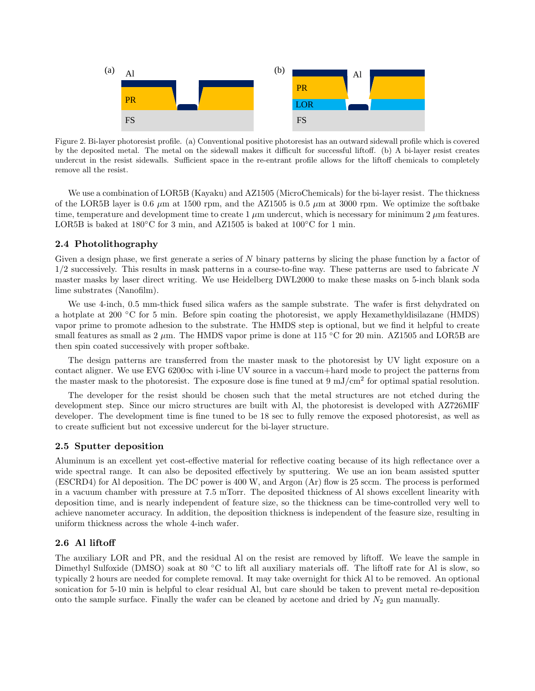

<span id="page-3-0"></span>Figure 2. Bi-layer photoresist profile. (a) Conventional positive photoresist has an outward sidewall profile which is covered by the deposited metal. The metal on the sidewall makes it difficult for successful liftoff. (b) A bi-layer resist creates undercut in the resist sidewalls. Sufficient space in the re-entrant profile allows for the liftoff chemicals to completely remove all the resist.

We use a combination of LOR5B (Kayaku) and AZ1505 (MicroChemicals) for the bi-layer resist. The thickness of the LOR5B layer is 0.6  $\mu$ m at 1500 rpm, and the AZ1505 is 0.5  $\mu$ m at 3000 rpm. We optimize the softbake time, temperature and development time to create 1  $\mu$ m undercut, which is necessary for minimum 2  $\mu$ m features. LOR5B is baked at  $180^{\circ}$ C for 3 min, and AZ1505 is baked at  $100^{\circ}$ C for 1 min.

## 2.4 Photolithography

Given a design phase, we first generate a series of N binary patterns by slicing the phase function by a factor of 1/2 successively. This results in mask patterns in a course-to-fine way. These patterns are used to fabricate N master masks by laser direct writing. We use Heidelberg DWL2000 to make these masks on 5-inch blank soda lime substrates (Nanofilm).

We use 4-inch, 0.5 mm-thick fused silica wafers as the sample substrate. The wafer is first dehydrated on a hotplate at 200 ◦C for 5 min. Before spin coating the photoresist, we apply Hexamethyldisilazane (HMDS) vapor prime to promote adhesion to the substrate. The HMDS step is optional, but we find it helpful to create small features as small as  $2 \mu$ m. The HMDS vapor prime is done at 115 °C for 20 min. AZ1505 and LOR5B are then spin coated successively with proper softbake.

The design patterns are transferred from the master mask to the photoresist by UV light exposure on a contact aligner. We use EVG  $6200\infty$  with i-line UV source in a vaccum+hard mode to project the patterns from the master mask to the photoresist. The exposure dose is fine tuned at  $9 \text{ mJ/cm}^2$  for optimal spatial resolution.

The developer for the resist should be chosen such that the metal structures are not etched during the development step. Since our micro structures are built with Al, the photoresist is developed with AZ726MIF developer. The development time is fine tuned to be 18 sec to fully remove the exposed photoresist, as well as to create sufficient but not excessive undercut for the bi-layer structure.

#### <span id="page-3-1"></span>2.5 Sputter deposition

Aluminum is an excellent yet cost-effective material for reflective coating because of its high reflectance over a wide spectral range. It can also be deposited effectively by sputtering. We use an ion beam assisted sputter (ESCRD4) for Al deposition. The DC power is 400 W, and Argon (Ar) flow is 25 sccm. The process is performed in a vacuum chamber with pressure at 7.5 mTorr. The deposited thickness of Al shows excellent linearity with deposition time, and is nearly independent of feature size, so the thickness can be time-controlled very well to achieve nanometer accuracy. In addition, the deposition thickness is independent of the feasure size, resulting in uniform thickness across the whole 4-inch wafer.

#### 2.6 Al liftoff

The auxiliary LOR and PR, and the residual Al on the resist are removed by liftoff. We leave the sample in Dimethyl Sulfoxide (DMSO) soak at 80 °C to lift all auxiliary materials off. The liftoff rate for Al is slow, so typically 2 hours are needed for complete removal. It may take overnight for thick Al to be removed. An optional sonication for 5-10 min is helpful to clear residual Al, but care should be taken to prevent metal re-deposition onto the sample surface. Finally the wafer can be cleaned by acetone and dried by  $N_2$  gun manually.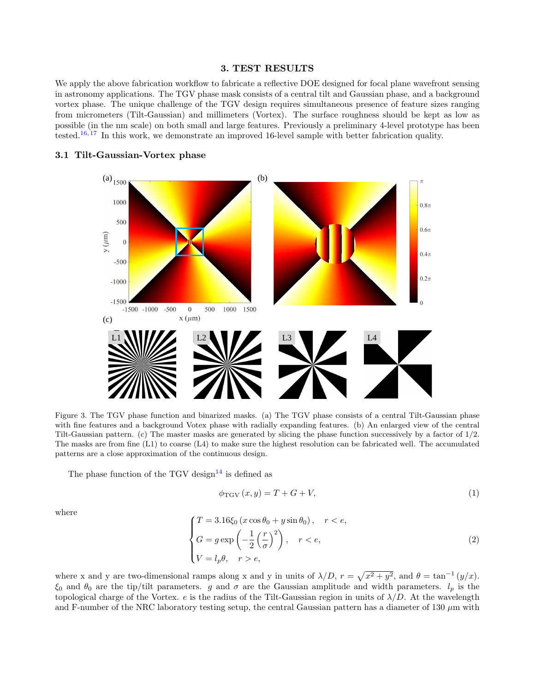#### 3. TEST RESULTS

We apply the above fabrication workflow to fabricate a reflective DOE designed for focal plane wavefront sensing in astronomy applications. The TGV phase mask consists of a central tilt and Gaussian phase, and a background vortex phase. The unique challenge of the TGV design requires simultaneous presence of feature sizes ranging from micrometers (Tilt-Gaussian) and millimeters (Vortex). The surface roughness should be kept as low as possible (in the nm scale) on both small and large features. Previously a preliminary 4-level prototype has been tested.<sup>[16,](#page-8-13) [17](#page-8-12)</sup> In this work, we demonstrate an improved 16-level sample with better fabrication quality.



#### 3.1 Tilt-Gaussian-Vortex phase

<span id="page-4-0"></span>Figure 3. The TGV phase function and binarized masks. (a) The TGV phase consists of a central Tilt-Gaussian phase with fine features and a background Votex phase with radially expanding features. (b) An enlarged view of the central Tilt-Gaussian pattern. (c) The master masks are generated by slicing the phase function successively by a factor of 1/2. The masks are from fine (L1) to coarse (L4) to make sure the highest resolution can be fabricated well. The accumulated patterns are a close approximation of the continuous design.

The phase function of the TGV design<sup>[14](#page-8-11)</sup> is defined as

$$
\phi_{\text{TGV}}\left(x,y\right) = T + G + V,\tag{1}
$$

where

$$
\begin{cases}\nT = 3.16\xi_0 (x \cos \theta_0 + y \sin \theta_0), & r < e, \\
G = g \exp\left(-\frac{1}{2} \left(\frac{r}{\sigma}\right)^2\right), & r < e, \\
V = l_p \theta, & r > e,\n\end{cases}
$$
\n(2)

where x and y are two-dimensional ramps along x and y in units of  $\lambda/D$ ,  $r = \sqrt{x^2 + y^2}$ , and  $\theta = \tan^{-1}(y/x)$ .  $\xi_0$  and  $\theta_0$  are the tip/tilt parameters. g and  $\sigma$  are the Gaussian amplitude and width parameters.  $l_p$  is the topological charge of the Vortex. e is the radius of the Tilt-Gaussian region in units of  $\lambda/D$ . At the wavelength and F-number of the NRC laboratory testing setup, the central Gaussian pattern has a diameter of 130  $\mu$ m with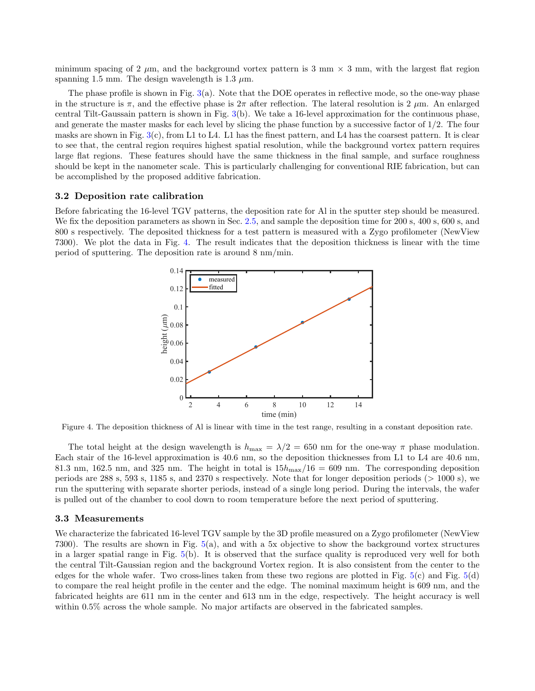minimum spacing of 2  $\mu$ m, and the background vortex pattern is 3 mm  $\times$  3 mm, with the largest flat region spanning 1.5 mm. The design wavelength is 1.3  $\mu$ m.

The phase profile is shown in Fig. [3\(](#page-4-0)a). Note that the DOE operates in reflective mode, so the one-way phase in the structure is  $\pi$ , and the effective phase is  $2\pi$  after reflection. The lateral resolution is  $2 \mu m$ . An enlarged central Tilt-Gaussain pattern is shown in Fig. [3\(](#page-4-0)b). We take a 16-level approximation for the continuous phase, and generate the master masks for each level by slicing the phase function by a successive factor of  $1/2$ . The four masks are shown in Fig.  $3(c)$  $3(c)$ , from L1 to L4. L1 has the finest pattern, and L4 has the coarsest pattern. It is clear to see that, the central region requires highest spatial resolution, while the background vortex pattern requires large flat regions. These features should have the same thickness in the final sample, and surface roughness should be kept in the nanometer scale. This is particularly challenging for conventional RIE fabrication, but can be accomplished by the proposed additive fabrication.

#### 3.2 Deposition rate calibration

Before fabricating the 16-level TGV patterns, the deposition rate for Al in the sputter step should be measured. We fix the deposition parameters as shown in Sec. [2.5,](#page-3-1) and sample the deposition time for 200 s, 400 s, 600 s, and 800 s respectively. The deposited thickness for a test pattern is measured with a Zygo profilometer (NewView 7300). We plot the data in Fig. [4.](#page-5-0) The result indicates that the deposition thickness is linear with the time period of sputtering. The deposition rate is around 8 nm/min.



<span id="page-5-0"></span>Figure 4. The deposition thickness of Al is linear with time in the test range, resulting in a constant deposition rate.

The total height at the design wavelength is  $h_{\text{max}} = \lambda/2 = 650$  nm for the one-way  $\pi$  phase modulation. Each stair of the 16-level approximation is 40.6 nm, so the deposition thicknesses from L1 to L4 are 40.6 nm, 81.3 nm, 162.5 nm, and 325 nm. The height in total is  $15h_{\text{max}}/16 = 609$  nm. The corresponding deposition periods are 288 s, 593 s, 1185 s, and 2370 s respectively. Note that for longer deposition periods (> 1000 s), we run the sputtering with separate shorter periods, instead of a single long period. During the intervals, the wafer is pulled out of the chamber to cool down to room temperature before the next period of sputtering.

#### 3.3 Measurements

We characterize the fabricated 16-level TGV sample by the 3D profile measured on a Zygo profilometer (NewView 7300). The results are shown in Fig. [5\(](#page-6-0)a), and with a 5x objective to show the background vortex structures in a larger spatial range in Fig. [5\(](#page-6-0)b). It is observed that the surface quality is reproduced very well for both the central Tilt-Gaussian region and the background Vortex region. It is also consistent from the center to the edges for the whole wafer. Two cross-lines taken from these two regions are plotted in Fig. [5\(](#page-6-0)c) and Fig. [5\(](#page-6-0)d) to compare the real height profile in the center and the edge. The nominal maximum height is 609 nm, and the fabricated heights are 611 nm in the center and 613 nm in the edge, respectively. The height accuracy is well within 0.5% across the whole sample. No major artifacts are observed in the fabricated samples.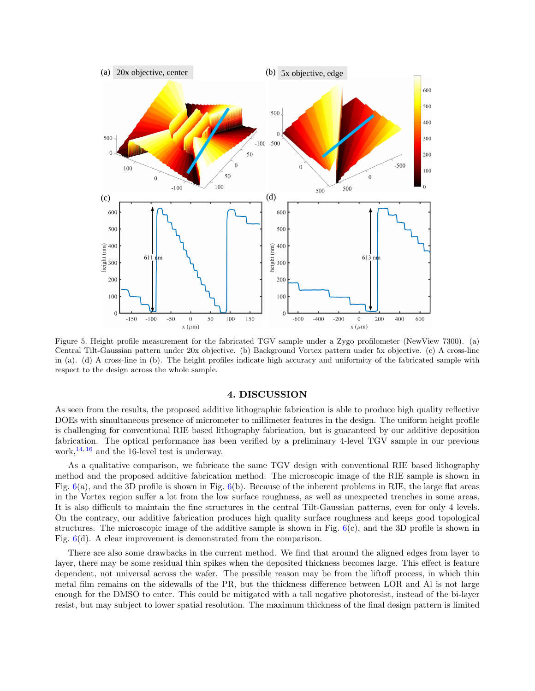

<span id="page-6-0"></span>Figure 5. Height profile measurement for the fabricated TGV sample under a Zygo profilometer (NewView 7300). (a) Central Tilt-Gaussian pattern under 20x objective. (b) Background Vortex pattern under 5x objective. (c) A cross-line in (a). (d) A cross-line in (b). The height profiles indicate high accuracy and uniformity of the fabricated sample with respect to the design across the whole sample.

#### 4. DISCUSSION

As seen from the results, the proposed additive lithographic fabrication is able to produce high quality reflective DOEs with simultaneous presence of micrometer to millimeter features in the design. The uniform height profile is challenging for conventional RIE based lithography fabrication, but is guaranteed by our additive deposition fabrication. The optical performance has been verified by a preliminary 4-level TGV sample in our previous work,  $^{14, 16}$  $^{14, 16}$  $^{14, 16}$  $^{14, 16}$  $^{14, 16}$  and the 16-level test is underway.

As a qualitative comparison, we fabricate the same TGV design with conventional RIE based lithography method and the proposed additive fabrication method. The microscopic image of the RIE sample is shown in Fig.  $6(a)$  $6(a)$ , and the 3D profile is shown in Fig.  $6(b)$ . Because of the inherent problems in RIE, the large flat areas in the Vortex region suffer a lot from the low surface roughness, as well as unexpected trenches in some areas. It is also difficult to maintain the fine structures in the central Tilt-Gaussian patterns, even for only 4 levels. On the contrary, our additive fabrication produces high quality surface roughness and keeps good topological structures. The microscopic image of the additive sample is shown in Fig.  $6(c)$  $6(c)$ , and the 3D profile is shown in Fig.  $6(d)$  $6(d)$ . A clear improvement is demonstrated from the comparison.

There are also some drawbacks in the current method. We find that around the aligned edges from layer to layer, there may be some residual thin spikes when the deposited thickness becomes large. This effect is feature dependent, not universal across the wafer. The possible reason may be from the liftoff process, in which thin metal film remains on the sidewalls of the PR, but the thickness difference between LOR and Al is not large enough for the DMSO to enter. This could be mitigated with a tall negative photoresist, instead of the bi-layer resist, but may subject to lower spatial resolution. The maximum thickness of the final design pattern is limited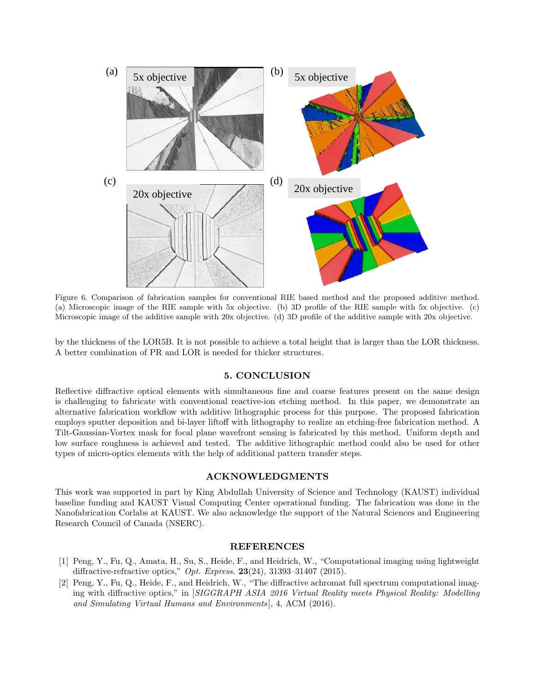

<span id="page-7-2"></span>Figure 6. Comparison of fabrication samples for conventional RIE based method and the proposed additive method. (a) Microscopic image of the RIE sample with 5x objective. (b) 3D profile of the RIE sample with 5x objective. (c) Microscopic image of the additive sample with 20x objective. (d) 3D profile of the additive sample with 20x objective.

by the thickness of the LOR5B. It is not possible to achieve a total height that is larger than the LOR thickness. A better combination of PR and LOR is needed for thicker structures.

#### 5. CONCLUSION

Reflective diffractive optical elements with simultaneous fine and coarse features present on the same design is challenging to fabricate with conventional reactive-ion etching method. In this paper, we demonstrate an alternative fabrication workflow with additive lithographic process for this purpose. The proposed fabrication employs sputter deposition and bi-layer liftoff with lithography to realize an etching-free fabrication method. A Tilt-Gaussian-Vortex mask for focal plane wavefront sensing is fabricated by this method. Uniform depth and low surface roughness is achieved and tested. The additive lithographic method could also be used for other types of micro-optics elements with the help of additional pattern transfer steps.

## ACKNOWLEDGMENTS

This work was supported in part by King Abdullah University of Science and Technology (KAUST) individual baseline funding and KAUST Visual Computing Center operational funding. The fabrication was done in the Nanofabrication Corlabs at KAUST. We also acknowledge the support of the Natural Sciences and Engineering Research Council of Canada (NSERC).

## REFERENCES

- <span id="page-7-0"></span>[1] Peng, Y., Fu, Q., Amata, H., Su, S., Heide, F., and Heidrich, W., "Computational imaging using lightweight diffractive-refractive optics," Opt. Express.  $23(24)$ ,  $31393-31407$  (2015).
- <span id="page-7-1"></span>[2] Peng, Y., Fu, Q., Heide, F., and Heidrich, W., "The diffractive achromat full spectrum computational imaging with diffractive optics," in [SIGGRAPH ASIA 2016 Virtual Reality meets Physical Reality: Modelling and Simulating Virtual Humans and Environments ], 4, ACM (2016).